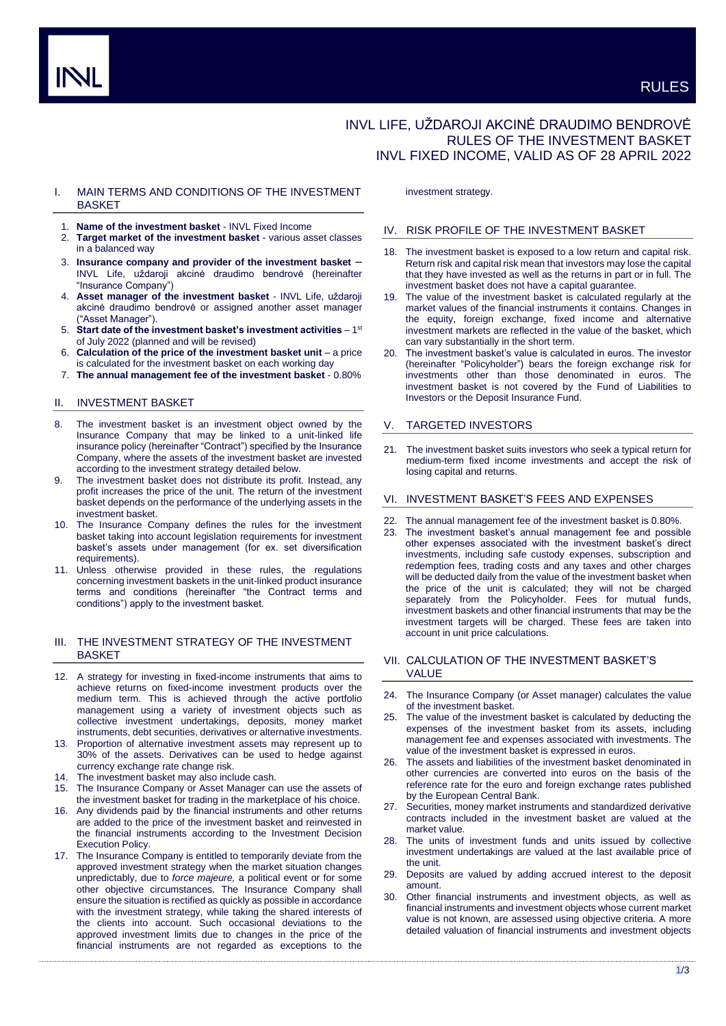# INVL LIFE, UŽDAROJI AKCINĖ DRAUDIMO BENDROVĖ RULES OF THE INVESTMENT BASKET INVL FIXED INCOME, VALID AS OF 28 APRIL 2022

# I. MAIN TERMS AND CONDITIONS OF THE INVESTMENT **BASKET**

- 1. **Name of the investment basket** INVL Fixed Income
- 2. **Target market of the investment basket** various asset classes in a balanced way
- 3. **Insurance company and provider of the investment basket** INVL Life, uždaroji akcinė draudimo bendrovė (hereinafter "Insurance Company")
- 4. **Asset manager of the investment basket** INVL Life, uždaroji akcinė draudimo bendrovė or assigned another asset manager ("Asset Manager").
- 5. Start date of the investment basket's investment activities 1<sup>st</sup> of July 2022 (planned and will be revised)
- 6. **Calculation of the price of the investment basket unit**  a price is calculated for the investment basket on each working day
- 7. **The annual management fee of the investment basket** 0.80%

# II. INVESTMENT BASKET

- 8. The investment basket is an investment object owned by the Insurance Company that may be linked to a unit-linked life insurance policy (hereinafter "Contract") specified by the Insurance Company, where the assets of the investment basket are invested according to the investment strategy detailed below.
- 9. The investment basket does not distribute its profit. Instead, any profit increases the price of the unit. The return of the investment basket depends on the performance of the underlying assets in the investment basket.
- 10. The Insurance Company defines the rules for the investment basket taking into account legislation requirements for investment basket's assets under management (for ex. set diversification requirements).
- 11. Unless otherwise provided in these rules, the regulations concerning investment baskets in the unit-linked product insurance terms and conditions (hereinafter "the Contract terms and conditions") apply to the investment basket.

# III. THE INVESTMENT STRATEGY OF THE INVESTMENT BASKET

- 12. A strategy for investing in fixed-income instruments that aims to achieve returns on fixed-income investment products over the medium term. This is achieved through the active portfolio management using a variety of investment objects such as collective investment undertakings, deposits, money market instruments, debt securities, derivatives or alternative investments.
- 13. Proportion of alternative investment assets may represent up to 30% of the assets. Derivatives can be used to hedge against currency exchange rate change risk.
- 14. The investment basket may also include cash.
- 15. The Insurance Company or Asset Manager can use the assets of the investment basket for trading in the marketplace of his choice.
- 16. Any dividends paid by the financial instruments and other returns are added to the price of the investment basket and reinvested in the financial instruments according to the Investment Decision Execution Policy.
- 17. The Insurance Company is entitled to temporarily deviate from the approved investment strategy when the market situation changes unpredictably, due to *force majeure,* a political event or for some other objective circumstances. The Insurance Company shall ensure the situation is rectified as quickly as possible in accordance with the investment strategy, while taking the shared interests of the clients into account. Such occasional deviations to the approved investment limits due to changes in the price of the financial instruments are not regarded as exceptions to the

investment strategy.

#### IV. RISK PROFILE OF THE INVESTMENT BASKET

- 18. The investment basket is exposed to a low return and capital risk. Return risk and capital risk mean that investors may lose the capital that they have invested as well as the returns in part or in full. The investment basket does not have a capital guarantee.
- The value of the investment basket is calculated regularly at the market values of the financial instruments it contains. Changes in the equity, foreign exchange, fixed income and alternative investment markets are reflected in the value of the basket, which can vary substantially in the short term.
- 20. The investment basket's value is calculated in euros. The investor (hereinafter "Policyholder") bears the foreign exchange risk for investments other than those denominated in euros. The investment basket is not covered by the Fund of Liabilities to Investors or the Deposit Insurance Fund.

# V. TARGETED INVESTORS

21. The investment basket suits investors who seek a typical return for medium-term fixed income investments and accept the risk of losing capital and returns.

# VI. INVESTMENT BASKET'S FEES AND EXPENSES

- 22. The annual management fee of the investment basket is 0.80%.
- 23. The investment basket's annual management fee and possible other expenses associated with the investment basket's direct investments, including safe custody expenses, subscription and redemption fees, trading costs and any taxes and other charges will be deducted daily from the value of the investment basket when the price of the unit is calculated; they will not be charged separately from the Policyholder. Fees for mutual funds, investment baskets and other financial instruments that may be the investment targets will be charged. These fees are taken into account in unit price calculations.

## VII. CALCULATION OF THE INVESTMENT BASKET'S VALUE

- 24. The Insurance Company (or Asset manager) calculates the value of the investment basket.
- The value of the investment basket is calculated by deducting the expenses of the investment basket from its assets, including management fee and expenses associated with investments. The value of the investment basket is expressed in euros.
- 26. The assets and liabilities of the investment basket denominated in other currencies are converted into euros on the basis of the reference rate for the euro and foreign exchange rates published by the European Central Bank.
- 27. Securities, money market instruments and standardized derivative contracts included in the investment basket are valued at the market value.
- 28. The units of investment funds and units issued by collective investment undertakings are valued at the last available price of the unit.
- 29. Deposits are valued by adding accrued interest to the deposit amount.
- 30. Other financial instruments and investment objects, as well as financial instruments and investment objects whose current market value is not known, are assessed using objective criteria. A more detailed valuation of financial instruments and investment objects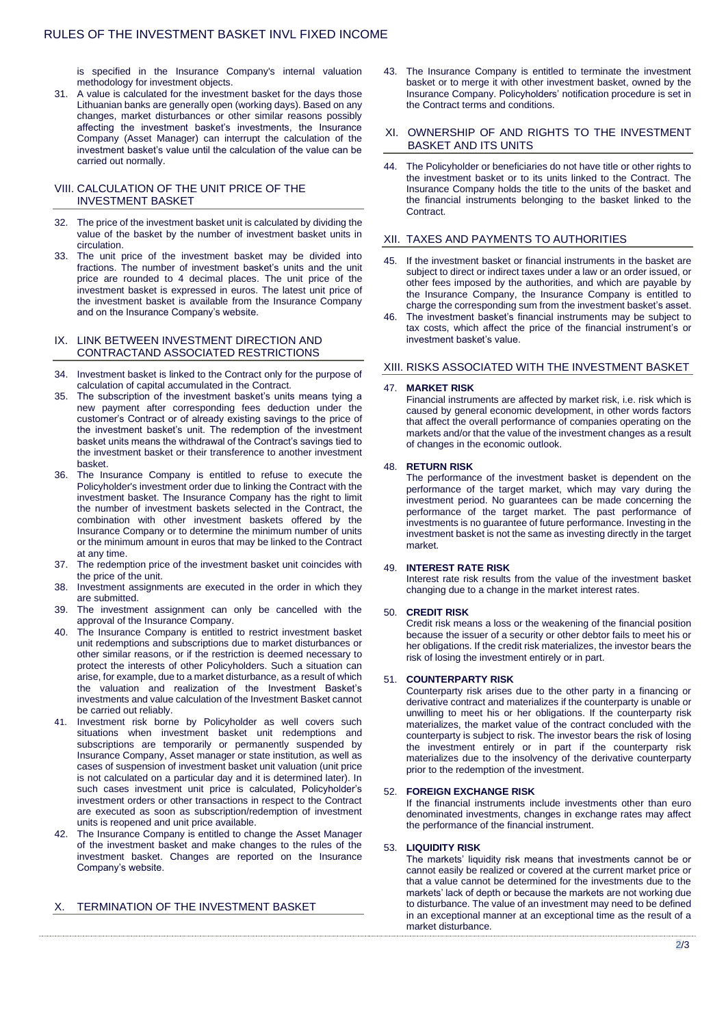is specified in the Insurance Company's internal valuation methodology for investment objects.

31. A value is calculated for the investment basket for the days those Lithuanian banks are generally open (working days). Based on any changes, market disturbances or other similar reasons possibly affecting the investment basket's investments, the Insurance Company (Asset Manager) can interrupt the calculation of the investment basket's value until the calculation of the value can be carried out normally.

## VIII. CALCULATION OF THE UNIT PRICE OF THE INVESTMENT BASKET

- 32. The price of the investment basket unit is calculated by dividing the value of the basket by the number of investment basket units in circulation.
- 33. The unit price of the investment basket may be divided into fractions. The number of investment basket's units and the unit price are rounded to 4 decimal places. The unit price of the investment basket is expressed in euros. The latest unit price of the investment basket is available from the Insurance Company and on the Insurance Company's website.

## IX. LINK BETWEEN INVESTMENT DIRECTION AND CONTRACTAND ASSOCIATED RESTRICTIONS

- 34. Investment basket is linked to the Contract only for the purpose of calculation of capital accumulated in the Contract.
- 35. The subscription of the investment basket's units means tying a new payment after corresponding fees deduction under the customer's Contract or of already existing savings to the price of the investment basket's unit. The redemption of the investment basket units means the withdrawal of the Contract's savings tied to the investment basket or their transference to another investment basket.
- 36. The Insurance Company is entitled to refuse to execute the Policyholder's investment order due to linking the Contract with the investment basket. The Insurance Company has the right to limit the number of investment baskets selected in the Contract, the combination with other investment baskets offered by the Insurance Company or to determine the minimum number of units or the minimum amount in euros that may be linked to the Contract at any time.
- 37. The redemption price of the investment basket unit coincides with the price of the unit.
- 38. Investment assignments are executed in the order in which they are submitted.
- 39. The investment assignment can only be cancelled with the approval of the Insurance Company.
- 40. The Insurance Company is entitled to restrict investment basket unit redemptions and subscriptions due to market disturbances or other similar reasons, or if the restriction is deemed necessary to protect the interests of other Policyholders. Such a situation can arise, for example, due to a market disturbance, as a result of which the valuation and realization of the Investment Basket's investments and value calculation of the Investment Basket cannot be carried out reliably.
- Investment risk borne by Policyholder as well covers such situations when investment basket unit redemptions and subscriptions are temporarily or permanently suspended by Insurance Company, Asset manager or state institution, as well as cases of suspension of investment basket unit valuation (unit price is not calculated on a particular day and it is determined later). In such cases investment unit price is calculated, Policyholder's investment orders or other transactions in respect to the Contract are executed as soon as subscription/redemption of investment units is reopened and unit price available.
- 42. The Insurance Company is entitled to change the Asset Manager of the investment basket and make changes to the rules of the investment basket. Changes are reported on the Insurance Company's website.

# X. TERMINATION OF THE INVESTMENT BASKET

43. The Insurance Company is entitled to terminate the investment basket or to merge it with other investment basket, owned by the Insurance Company. Policyholders' notification procedure is set in the Contract terms and conditions.

#### XI. OWNERSHIP OF AND RIGHTS TO THE INVESTMENT BASKET AND ITS UNITS

44. The Policyholder or beneficiaries do not have title or other rights to the investment basket or to its units linked to the Contract. The Insurance Company holds the title to the units of the basket and the financial instruments belonging to the basket linked to the Contract.

## XII. TAXES AND PAYMENTS TO AUTHORITIES

- If the investment basket or financial instruments in the basket are subject to direct or indirect taxes under a law or an order issued, or other fees imposed by the authorities, and which are payable by the Insurance Company, the Insurance Company is entitled to charge the corresponding sum from the investment basket's asset.
- 46. The investment basket's financial instruments may be subject to tax costs, which affect the price of the financial instrument's or investment basket's value.

# XIII. RISKS ASSOCIATED WITH THE INVESTMENT BASKET

#### 47. **MARKET RISK**

Financial instruments are affected by market risk, i.e. risk which is caused by general economic development, in other words factors that affect the overall performance of companies operating on the markets and/or that the value of the investment changes as a result of changes in the economic outlook.

#### 48. **RETURN RISK**

The performance of the investment basket is dependent on the performance of the target market, which may vary during the investment period. No guarantees can be made concerning the performance of the target market. The past performance of investments is no guarantee of future performance. Investing in the investment basket is not the same as investing directly in the target market.

## 49. **INTEREST RATE RISK**

Interest rate risk results from the value of the investment basket changing due to a change in the market interest rates.

#### 50. **CREDIT RISK**

Credit risk means a loss or the weakening of the financial position because the issuer of a security or other debtor fails to meet his or her obligations. If the credit risk materializes, the investor bears the risk of losing the investment entirely or in part.

#### 51. **COUNTERPARTY RISK**

Counterparty risk arises due to the other party in a financing or derivative contract and materializes if the counterparty is unable or unwilling to meet his or her obligations. If the counterparty risk materializes, the market value of the contract concluded with the counterparty is subject to risk. The investor bears the risk of losing the investment entirely or in part if the counterparty risk materializes due to the insolvency of the derivative counterparty prior to the redemption of the investment.

#### 52. **FOREIGN EXCHANGE RISK**

If the financial instruments include investments other than euro denominated investments, changes in exchange rates may affect the performance of the financial instrument.

#### 53. **LIQUIDITY RISK**

The markets' liquidity risk means that investments cannot be or cannot easily be realized or covered at the current market price or that a value cannot be determined for the investments due to the markets' lack of depth or because the markets are not working due to disturbance. The value of an investment may need to be defined in an exceptional manner at an exceptional time as the result of a market disturbance.